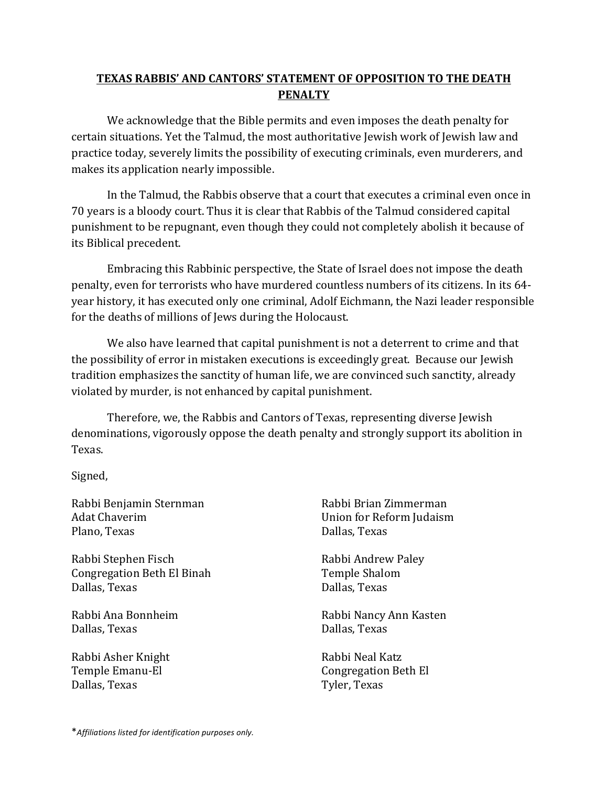## **TEXAS RABBIS' AND CANTORS' STATEMENT OF OPPOSITION TO THE DEATH PENALTY**

We acknowledge that the Bible permits and even imposes the death penalty for certain situations. Yet the Talmud, the most authoritative Jewish work of Jewish law and practice today, severely limits the possibility of executing criminals, even murderers, and makes its application nearly impossible.

In the Talmud, the Rabbis observe that a court that executes a criminal even once in 70 years is a bloody court. Thus it is clear that Rabbis of the Talmud considered capital punishment to be repugnant, even though they could not completely abolish it because of its Biblical precedent.

Embracing this Rabbinic perspective, the State of Israel does not impose the death penalty, even for terrorists who have murdered countless numbers of its citizens. In its 64year history, it has executed only one criminal, Adolf Eichmann, the Nazi leader responsible for the deaths of millions of Jews during the Holocaust.

We also have learned that capital punishment is not a deterrent to crime and that the possibility of error in mistaken executions is exceedingly great. Because our Jewish tradition emphasizes the sanctity of human life, we are convinced such sanctity, already violated by murder, is not enhanced by capital punishment.

Therefore, we, the Rabbis and Cantors of Texas, representing diverse Jewish denominations, vigorously oppose the death penalty and strongly support its abolition in Texas.

Signed,

Rabbi Benjamin Sternman Adat Chaverim Plano, Texas

Rabbi Stephen Fisch Congregation Beth El Binah Dallas, Texas

Rabbi Ana Bonnheim Dallas, Texas

Rabbi Asher Knight Temple Emanu-El Dallas, Texas

Rabbi Brian Zimmerman Union for Reform Judaism Dallas, Texas

Rabbi Andrew Paley Temple Shalom Dallas, Texas

Rabbi Nancy Ann Kasten Dallas, Texas

Rabbi Neal Katz Congregation Beth El Tyler, Texas